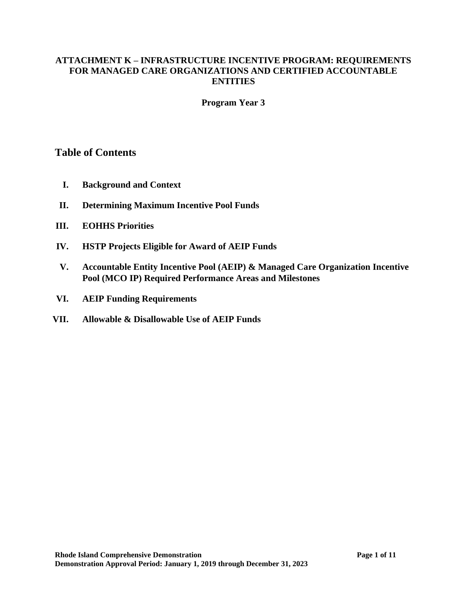#### **ATTACHMENT K – INFRASTRUCTURE INCENTIVE PROGRAM: REQUIREMENTS FOR MANAGED CARE ORGANIZATIONS AND CERTIFIED ACCOUNTABLE ENTITIES**

**Program Year 3**

# **Table of Contents**

- **I. Background and Context**
- **II. Determining Maximum Incentive Pool Funds**
- **III. EOHHS Priorities**
- **IV. HSTP Projects Eligible for Award of AEIP Funds**
- **V. Accountable Entity Incentive Pool (AEIP) & Managed Care Organization Incentive Pool (MCO IP) Required Performance Areas and Milestones**
- **VI. AEIP Funding Requirements**
- **VII. Allowable & Disallowable Use of AEIP Funds**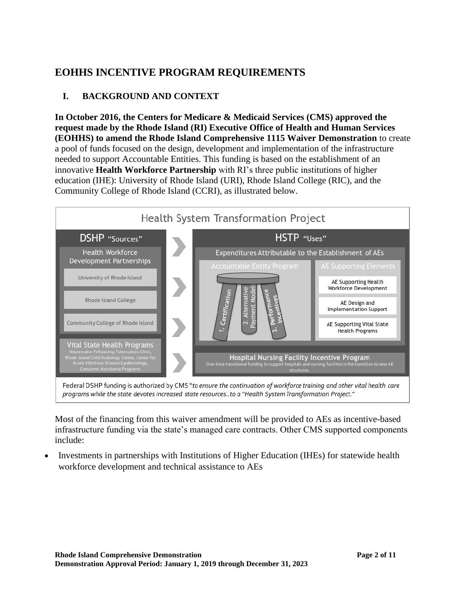# **EOHHS INCENTIVE PROGRAM REQUIREMENTS**

# **I. BACKGROUND AND CONTEXT**

**In October 2016, the Centers for Medicare & Medicaid Services (CMS) approved the request made by the Rhode Island (RI) Executive Office of Health and Human Services (EOHHS) to amend the Rhode Island Comprehensive 1115 Waiver Demonstration** to create a pool of funds focused on the design, development and implementation of the infrastructure needed to support Accountable Entities. This funding is based on the establishment of an innovative **Health Workforce Partnership** with RI's three public institutions of higher education (IHE): University of Rhode Island (URI), Rhode Island College (RIC), and the Community College of Rhode Island (CCRI), as illustrated below.



Most of the financing from this waiver amendment will be provided to AEs as incentive-based infrastructure funding via the state's managed care contracts. Other CMS supported components include:

• Investments in partnerships with Institutions of Higher Education (IHEs) for statewide health workforce development and technical assistance to AEs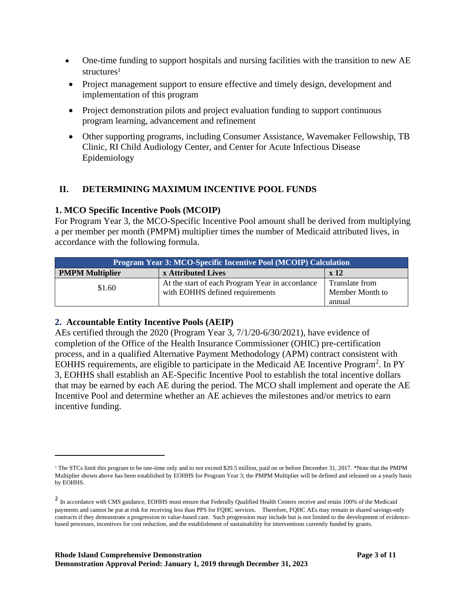- One-time funding to support hospitals and nursing facilities with the transition to new AE structures<sup>1</sup>
- Project management support to ensure effective and timely design, development and implementation of this program
- Project demonstration pilots and project evaluation funding to support continuous program learning, advancement and refinement
- Other supporting programs, including Consumer Assistance, Wavemaker Fellowship, TB Clinic, RI Child Audiology Center, and Center for Acute Infectious Disease Epidemiology

## **II. DETERMINING MAXIMUM INCENTIVE POOL FUNDS**

### **1. MCO Specific Incentive Pools (MCOIP)**

For Program Year 3, the MCO-Specific Incentive Pool amount shall be derived from multiplying a per member per month (PMPM) multiplier times the number of Medicaid attributed lives, in accordance with the following formula.

| <b>Program Year 3: MCO-Specific Incentive Pool (MCOIP) Calculation</b> |                                                 |                 |  |
|------------------------------------------------------------------------|-------------------------------------------------|-----------------|--|
| <b>PMPM Multiplier</b>                                                 | x Attributed Lives                              | x 12            |  |
| \$1.60                                                                 | At the start of each Program Year in accordance | Translate from  |  |
|                                                                        | with EOHHS defined requirements                 | Member Month to |  |
|                                                                        |                                                 | annual          |  |

### **2. Accountable Entity Incentive Pools (AEIP)**

AEs certified through the 2020 (Program Year 3, 7/1/20-6/30/2021), have evidence of completion of the Office of the Health Insurance Commissioner (OHIC) pre-certification process, and in a qualified Alternative Payment Methodology (APM) contract consistent with EOHHS requirements, are eligible to participate in the Medicaid AE Incentive Program<sup>2</sup>. In PY 3, EOHHS shall establish an AE-Specific Incentive Pool to establish the total incentive dollars that may be earned by each AE during the period. The MCO shall implement and operate the AE Incentive Pool and determine whether an AE achieves the milestones and/or metrics to earn incentive funding.

<sup>&</sup>lt;sup>1</sup> The STCs limit this program to be one-time only and to not exceed \$20.5 million, paid on or before December 31, 2017. \*Note that the PMPM Multiplier shown above has been established by EOHHS for Program Year 3; the PMPM Multiplier will be defined and released on a yearly basis by EOHHS.

<sup>&</sup>lt;sup>2</sup> In accordance with CMS guidance, EOHHS must ensure that Federally Qualified Health Centers receive and retain 100% of the Medicaid payments and cannot be put at risk for receiving less than PPS for FQHC services. Therefore, FQHC AEs may remain in shared savings-only contracts if they demonstrate a progression to value-based care. Such progression may include but is not limited to the development of evidencebased processes, incentives for cost reduction, and the establishment of sustainability for interventions currently funded by grants.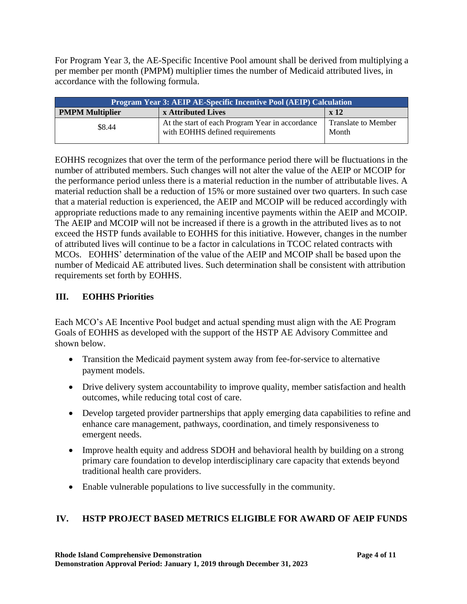For Program Year 3, the AE-Specific Incentive Pool amount shall be derived from multiplying a per member per month (PMPM) multiplier times the number of Medicaid attributed lives, in accordance with the following formula.

| <b>Program Year 3: AEIP AE-Specific Incentive Pool (AEIP) Calculation</b> |                                                                                    |                                     |  |
|---------------------------------------------------------------------------|------------------------------------------------------------------------------------|-------------------------------------|--|
| <b>PMPM Multiplier</b>                                                    | x Attributed Lives                                                                 | x 12                                |  |
| \$8.44                                                                    | At the start of each Program Year in accordance<br>with EOHHS defined requirements | <b>Translate to Member</b><br>Month |  |

EOHHS recognizes that over the term of the performance period there will be fluctuations in the number of attributed members. Such changes will not alter the value of the AEIP or MCOIP for the performance period unless there is a material reduction in the number of attributable lives. A material reduction shall be a reduction of 15% or more sustained over two quarters. In such case that a material reduction is experienced, the AEIP and MCOIP will be reduced accordingly with appropriate reductions made to any remaining incentive payments within the AEIP and MCOIP. The AEIP and MCOIP will not be increased if there is a growth in the attributed lives as to not exceed the HSTP funds available to EOHHS for this initiative. However, changes in the number of attributed lives will continue to be a factor in calculations in TCOC related contracts with MCOs. EOHHS' determination of the value of the AEIP and MCOIP shall be based upon the number of Medicaid AE attributed lives. Such determination shall be consistent with attribution requirements set forth by EOHHS.

### **III. EOHHS Priorities**

Each MCO's AE Incentive Pool budget and actual spending must align with the AE Program Goals of EOHHS as developed with the support of the HSTP AE Advisory Committee and shown below.

- Transition the Medicaid payment system away from fee-for-service to alternative payment models.
- Drive delivery system accountability to improve quality, member satisfaction and health outcomes, while reducing total cost of care.
- Develop targeted provider partnerships that apply emerging data capabilities to refine and enhance care management, pathways, coordination, and timely responsiveness to emergent needs.
- Improve health equity and address SDOH and behavioral health by building on a strong primary care foundation to develop interdisciplinary care capacity that extends beyond traditional health care providers.
- Enable vulnerable populations to live successfully in the community.

# **IV. HSTP PROJECT BASED METRICS ELIGIBLE FOR AWARD OF AEIP FUNDS**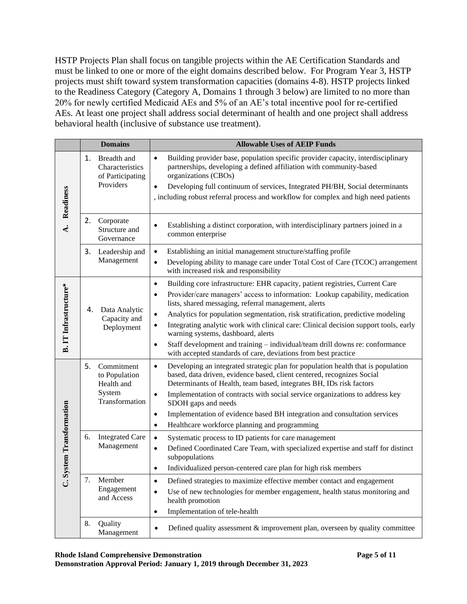HSTP Projects Plan shall focus on tangible projects within the AE Certification Standards and must be linked to one or more of the eight domains described below. For Program Year 3, HSTP projects must shift toward system transformation capacities (domains 4-8). HSTP projects linked to the Readiness Category (Category A, Domains 1 through 3 below) are limited to no more than 20% for newly certified Medicaid AEs and 5% of an AE's total incentive pool for re-certified AEs. At least one project shall address social determinant of health and one project shall address behavioral health (inclusive of substance use treatment).

|                          | <b>Domains</b>                                                              | <b>Allowable Uses of AEIP Funds</b>                                                                                                                                                                                                                                                                                                                                                                                                                                                                                                                                                    |
|--------------------------|-----------------------------------------------------------------------------|----------------------------------------------------------------------------------------------------------------------------------------------------------------------------------------------------------------------------------------------------------------------------------------------------------------------------------------------------------------------------------------------------------------------------------------------------------------------------------------------------------------------------------------------------------------------------------------|
| A. Readiness             | Breadth and<br>1.<br>Characteristics<br>of Participating<br>Providers       | Building provider base, population specific provider capacity, interdisciplinary<br>$\bullet$<br>partnerships, developing a defined affiliation with community-based<br>organizations (CBOs)<br>Developing full continuum of services, Integrated PH/BH, Social determinants<br>$\bullet$<br>, including robust referral process and workflow for complex and high need patients                                                                                                                                                                                                       |
|                          | 2. Corporate<br>Structure and<br>Governance                                 | Establishing a distinct corporation, with interdisciplinary partners joined in a<br>$\bullet$<br>common enterprise                                                                                                                                                                                                                                                                                                                                                                                                                                                                     |
|                          | 3.<br>Leadership and                                                        | Establishing an initial management structure/staffing profile<br>$\bullet$                                                                                                                                                                                                                                                                                                                                                                                                                                                                                                             |
|                          | Management                                                                  | Developing ability to manage care under Total Cost of Care (TCOC) arrangement<br>$\bullet$<br>with increased risk and responsibility                                                                                                                                                                                                                                                                                                                                                                                                                                                   |
| B. IT Infrastructure*    | Data Analytic<br>4.<br>Capacity and<br>Deployment                           | Building core infrastructure: EHR capacity, patient registries, Current Care<br>$\bullet$<br>Provider/care managers' access to information: Lookup capability, medication<br>$\bullet$<br>lists, shared messaging, referral management, alerts<br>Analytics for population segmentation, risk stratification, predictive modeling<br>$\bullet$<br>Integrating analytic work with clinical care: Clinical decision support tools, early<br>$\bullet$<br>warning systems, dashboard, alerts<br>Staff development and training - individual/team drill downs re: conformance<br>$\bullet$ |
|                          |                                                                             | with accepted standards of care, deviations from best practice                                                                                                                                                                                                                                                                                                                                                                                                                                                                                                                         |
| C. System Transformation | 5.<br>Commitment<br>to Population<br>Health and<br>System<br>Transformation | Developing an integrated strategic plan for population health that is population<br>$\bullet$<br>based, data driven, evidence based, client centered, recognizes Social<br>Determinants of Health, team based, integrates BH, IDs risk factors<br>Implementation of contracts with social service organizations to address key<br>$\bullet$<br>SDOH gaps and needs<br>Implementation of evidence based BH integration and consultation services<br>$\bullet$<br>Healthcare workforce planning and programming<br>$\bullet$                                                             |
|                          | <b>Integrated Care</b><br>6.<br>Management                                  | Systematic process to ID patients for care management<br>$\bullet$<br>Defined Coordinated Care Team, with specialized expertise and staff for distinct<br>$\bullet$<br>subpopulations<br>Individualized person-centered care plan for high risk members<br>$\bullet$                                                                                                                                                                                                                                                                                                                   |
|                          | 7.<br>Member<br>Engagement<br>and Access                                    | Defined strategies to maximize effective member contact and engagement<br>$\bullet$<br>Use of new technologies for member engagement, health status monitoring and<br>$\bullet$<br>health promotion<br>Implementation of tele-health<br>$\bullet$                                                                                                                                                                                                                                                                                                                                      |
|                          | 8.<br>Quality<br>Management                                                 | Defined quality assessment $\&$ improvement plan, overseen by quality committee<br>$\bullet$                                                                                                                                                                                                                                                                                                                                                                                                                                                                                           |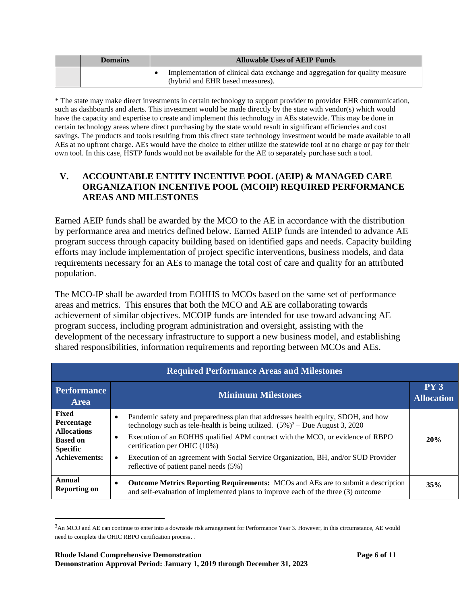| <b>Domains</b> | <b>Allowable Uses of AEIP Funds</b> |                                                                                                                  |
|----------------|-------------------------------------|------------------------------------------------------------------------------------------------------------------|
|                |                                     | Implementation of clinical data exchange and aggregation for quality measure<br>(hybrid and EHR based measures). |

\* The state may make direct investments in certain technology to support provider to provider EHR communication, such as dashboards and alerts. This investment would be made directly by the state with vendor(s) which would have the capacity and expertise to create and implement this technology in AEs statewide. This may be done in certain technology areas where direct purchasing by the state would result in significant efficiencies and cost savings. The products and tools resulting from this direct state technology investment would be made available to all AEs at no upfront charge. AEs would have the choice to either utilize the statewide tool at no charge or pay for their own tool. In this case, HSTP funds would not be available for the AE to separately purchase such a tool.

### **V. ACCOUNTABLE ENTITY INCENTIVE POOL (AEIP) & MANAGED CARE ORGANIZATION INCENTIVE POOL (MCOIP) REQUIRED PERFORMANCE AREAS AND MILESTONES**

Earned AEIP funds shall be awarded by the MCO to the AE in accordance with the distribution by performance area and metrics defined below. Earned AEIP funds are intended to advance AE program success through capacity building based on identified gaps and needs. Capacity building efforts may include implementation of project specific interventions, business models, and data requirements necessary for an AEs to manage the total cost of care and quality for an attributed population.

The MCO-IP shall be awarded from EOHHS to MCOs based on the same set of performance areas and metrics. This ensures that both the MCO and AE are collaborating towards achievement of similar objectives. MCOIP funds are intended for use toward advancing AE program success, including program administration and oversight, assisting with the development of the necessary infrastructure to support a new business model, and establishing shared responsibilities, information requirements and reporting between MCOs and AEs.

| <b>Required Performance Areas and Milestones</b>                                                               |                                                                                                                                                                                                                                                                                                                                                                                                                                       |                          |  |
|----------------------------------------------------------------------------------------------------------------|---------------------------------------------------------------------------------------------------------------------------------------------------------------------------------------------------------------------------------------------------------------------------------------------------------------------------------------------------------------------------------------------------------------------------------------|--------------------------|--|
| <b>Performance</b><br><b>Area</b>                                                                              | <b>Minimum Milestones</b>                                                                                                                                                                                                                                                                                                                                                                                                             | PY3<br><b>Allocation</b> |  |
| <b>Fixed</b><br>Percentage<br><b>Allocations</b><br><b>Based on</b><br><b>Specific</b><br><b>Achievements:</b> | Pandemic safety and preparedness plan that addresses health equity, SDOH, and how<br>$\bullet$<br>technology such as tele-health is being utilized. $(5\%)^3$ – Due August 3, 2020<br>Execution of an EOHHS qualified APM contract with the MCO, or evidence of RBPO<br>certification per OHIC (10%)<br>Execution of an agreement with Social Service Organization, BH, and/or SUD Provider<br>reflective of patient panel needs (5%) | 20%                      |  |
| Annual<br><b>Reporting on</b>                                                                                  | <b>Outcome Metrics Reporting Requirements:</b> MCOs and AEs are to submit a description<br>$\bullet$<br>and self-evaluation of implemented plans to improve each of the three (3) outcome                                                                                                                                                                                                                                             | 35%                      |  |

<sup>&</sup>lt;sup>3</sup>An MCO and AE can continue to enter into a downside risk arrangement for Performance Year 3. However, in this circumstance, AE would need to complete the OHIC RBPO certification process. .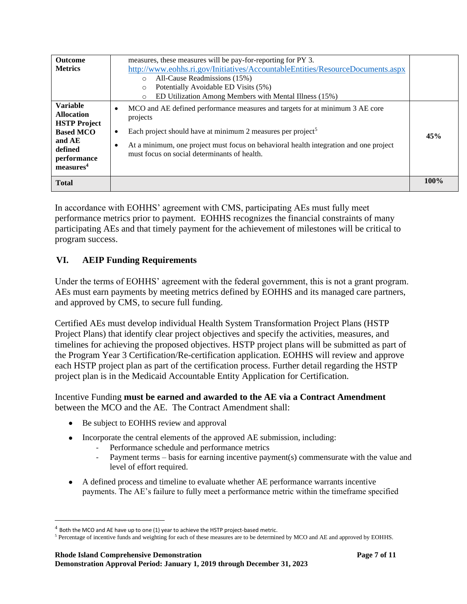| <b>Total</b>                                                                                                                                 |                                                                                                                                                                                                                                                                                                                           | 100% |
|----------------------------------------------------------------------------------------------------------------------------------------------|---------------------------------------------------------------------------------------------------------------------------------------------------------------------------------------------------------------------------------------------------------------------------------------------------------------------------|------|
| <b>Variable</b><br><b>Allocation</b><br><b>HSTP</b> Project<br><b>Based MCO</b><br>and AE<br>defined<br>performance<br>measures <sup>4</sup> | MCO and AE defined performance measures and targets for at minimum 3 AE core<br>projects<br>Each project should have at minimum 2 measures per project <sup>5</sup><br>$\bullet$<br>At a minimum, one project must focus on behavioral health integration and one project<br>must focus on social determinants of health. | 45%  |
| <b>Outcome</b><br><b>Metrics</b>                                                                                                             | measures, these measures will be pay-for-reporting for PY 3.<br>http://www.eohhs.ri.gov/Initiatives/AccountableEntities/ResourceDocuments.aspx<br>All-Cause Readmissions (15%)<br>$\circ$<br>Potentially Avoidable ED Visits (5%)<br>$\circ$<br>ED Utilization Among Members with Mental Illness (15%)<br>$\circ$         |      |

In accordance with EOHHS' agreement with CMS, participating AEs must fully meet performance metrics prior to payment. EOHHS recognizes the financial constraints of many participating AEs and that timely payment for the achievement of milestones will be critical to program success.

# **VI. AEIP Funding Requirements**

Under the terms of EOHHS' agreement with the federal government, this is not a grant program. AEs must earn payments by meeting metrics defined by EOHHS and its managed care partners, and approved by CMS, to secure full funding.

Certified AEs must develop individual Health System Transformation Project Plans (HSTP Project Plans) that identify clear project objectives and specify the activities, measures, and timelines for achieving the proposed objectives. HSTP project plans will be submitted as part of the Program Year 3 Certification/Re-certification application. EOHHS will review and approve each HSTP project plan as part of the certification process. Further detail regarding the HSTP project plan is in the Medicaid Accountable Entity Application for Certification.

Incentive Funding **must be earned and awarded to the AE via a Contract Amendment** between the MCO and the AE.The Contract Amendment shall:

- Be subject to EOHHS review and approval
- Incorporate the central elements of the approved AE submission, including:
	- Performance schedule and performance metrics
	- Payment terms basis for earning incentive payment(s) commensurate with the value and level of effort required.
- A defined process and timeline to evaluate whether AE performance warrants incentive payments. The AE's failure to fully meet a performance metric within the timeframe specified

 $^4$  Both the MCO and AE have up to one (1) year to achieve the HSTP project-based metric.

<sup>5</sup> Percentage of incentive funds and weighting for each of these measures are to be determined by MCO and AE and approved by EOHHS.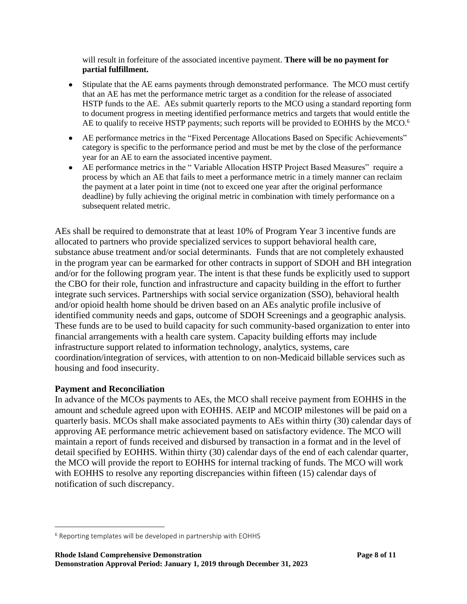will result in forfeiture of the associated incentive payment. **There will be no payment for partial fulfillment.** 

- Stipulate that the AE earns payments through demonstrated performance. The MCO must certify that an AE has met the performance metric target as a condition for the release of associated HSTP funds to the AE. AEs submit quarterly reports to the MCO using a standard reporting form to document progress in meeting identified performance metrics and targets that would entitle the AE to qualify to receive HSTP payments; such reports will be provided to EOHHS by the MCO.<sup>6</sup>
- AE performance metrics in the "Fixed Percentage Allocations Based on Specific Achievements" category is specific to the performance period and must be met by the close of the performance year for an AE to earn the associated incentive payment.
- AE performance metrics in the "Variable Allocation HSTP Project Based Measures" require a process by which an AE that fails to meet a performance metric in a timely manner can reclaim the payment at a later point in time (not to exceed one year after the original performance deadline) by fully achieving the original metric in combination with timely performance on a subsequent related metric.

AEs shall be required to demonstrate that at least 10% of Program Year 3 incentive funds are allocated to partners who provide specialized services to support behavioral health care, substance abuse treatment and/or social determinants. Funds that are not completely exhausted in the program year can be earmarked for other contracts in support of SDOH and BH integration and/or for the following program year. The intent is that these funds be explicitly used to support the CBO for their role, function and infrastructure and capacity building in the effort to further integrate such services. Partnerships with social service organization (SSO), behavioral health and/or opioid health home should be driven based on an AEs analytic profile inclusive of identified community needs and gaps, outcome of SDOH Screenings and a geographic analysis. These funds are to be used to build capacity for such community-based organization to enter into financial arrangements with a health care system. Capacity building efforts may include infrastructure support related to information technology, analytics, systems, care coordination/integration of services, with attention to on non-Medicaid billable services such as housing and food insecurity.

### **Payment and Reconciliation**

In advance of the MCOs payments to AEs, the MCO shall receive payment from EOHHS in the amount and schedule agreed upon with EOHHS. AEIP and MCOIP milestones will be paid on a quarterly basis. MCOs shall make associated payments to AEs within thirty (30) calendar days of approving AE performance metric achievement based on satisfactory evidence. The MCO will maintain a report of funds received and disbursed by transaction in a format and in the level of detail specified by EOHHS. Within thirty (30) calendar days of the end of each calendar quarter, the MCO will provide the report to EOHHS for internal tracking of funds. The MCO will work with EOHHS to resolve any reporting discrepancies within fifteen (15) calendar days of notification of such discrepancy.

<sup>6</sup> Reporting templates will be developed in partnership with EOHHS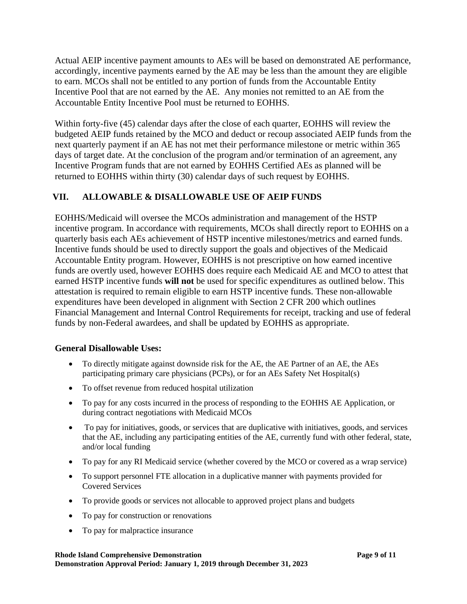Actual AEIP incentive payment amounts to AEs will be based on demonstrated AE performance, accordingly, incentive payments earned by the AE may be less than the amount they are eligible to earn. MCOs shall not be entitled to any portion of funds from the Accountable Entity Incentive Pool that are not earned by the AE. Any monies not remitted to an AE from the Accountable Entity Incentive Pool must be returned to EOHHS.

Within forty-five (45) calendar days after the close of each quarter, EOHHS will review the budgeted AEIP funds retained by the MCO and deduct or recoup associated AEIP funds from the next quarterly payment if an AE has not met their performance milestone or metric within 365 days of target date. At the conclusion of the program and/or termination of an agreement, any Incentive Program funds that are not earned by EOHHS Certified AEs as planned will be returned to EOHHS within thirty (30) calendar days of such request by EOHHS.

## **VII. ALLOWABLE & DISALLOWABLE USE OF AEIP FUNDS**

EOHHS/Medicaid will oversee the MCOs administration and management of the HSTP incentive program. In accordance with requirements, MCOs shall directly report to EOHHS on a quarterly basis each AEs achievement of HSTP incentive milestones/metrics and earned funds. Incentive funds should be used to directly support the goals and objectives of the Medicaid Accountable Entity program. However, EOHHS is not prescriptive on how earned incentive funds are overtly used, however EOHHS does require each Medicaid AE and MCO to attest that earned HSTP incentive funds **will not** be used for specific expenditures as outlined below. This attestation is required to remain eligible to earn HSTP incentive funds. These non-allowable expenditures have been developed in alignment with Section 2 CFR 200 which outlines Financial Management and Internal Control Requirements for receipt, tracking and use of federal funds by non-Federal awardees, and shall be updated by EOHHS as appropriate.

### **General Disallowable Uses:**

- To directly mitigate against downside risk for the AE, the AE Partner of an AE, the AEs participating primary care physicians (PCPs), or for an AEs Safety Net Hospital(s)
- To offset revenue from reduced hospital utilization
- To pay for any costs incurred in the process of responding to the EOHHS AE Application, or during contract negotiations with Medicaid MCOs
- To pay for initiatives, goods, or services that are duplicative with initiatives, goods, and services that the AE, including any participating entities of the AE, currently fund with other federal, state, and/or local funding
- To pay for any RI Medicaid service (whether covered by the MCO or covered as a wrap service)
- To support personnel FTE allocation in a duplicative manner with payments provided for Covered Services
- To provide goods or services not allocable to approved project plans and budgets
- To pay for construction or renovations
- To pay for malpractice insurance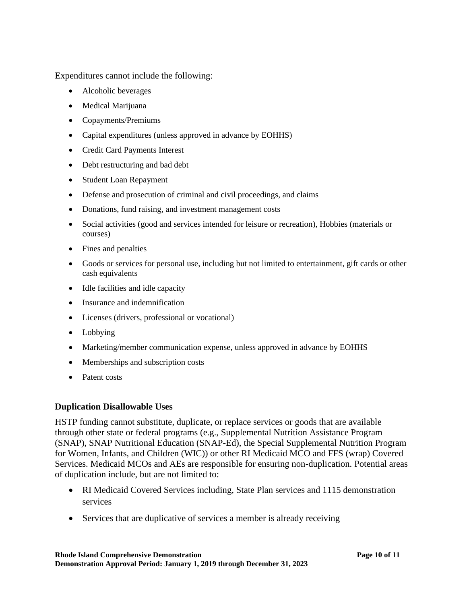Expenditures cannot include the following:

- Alcoholic beverages
- Medical Marijuana
- Copayments/Premiums
- Capital expenditures (unless approved in advance by EOHHS)
- Credit Card Payments Interest
- Debt restructuring and bad debt
- Student Loan Repayment
- Defense and prosecution of criminal and civil proceedings, and claims
- Donations, fund raising, and investment management costs
- Social activities (good and services intended for leisure or recreation), Hobbies (materials or courses)
- Fines and penalties
- Goods or services for personal use, including but not limited to entertainment, gift cards or other cash equivalents
- Idle facilities and idle capacity
- Insurance and indemnification
- Licenses (drivers, professional or vocational)
- Lobbying
- Marketing/member communication expense, unless approved in advance by EOHHS
- Memberships and subscription costs
- Patent costs

#### **Duplication Disallowable Uses**

HSTP funding cannot substitute, duplicate, or replace services or goods that are available through other state or federal programs (e.g., Supplemental Nutrition Assistance Program (SNAP), SNAP Nutritional Education (SNAP-Ed), the Special Supplemental Nutrition Program for Women, Infants, and Children (WIC)) or other RI Medicaid MCO and FFS (wrap) Covered Services. Medicaid MCOs and AEs are responsible for ensuring non-duplication. Potential areas of duplication include, but are not limited to:

- RI Medicaid Covered Services including, State Plan services and 1115 demonstration services
- Services that are duplicative of services a member is already receiving